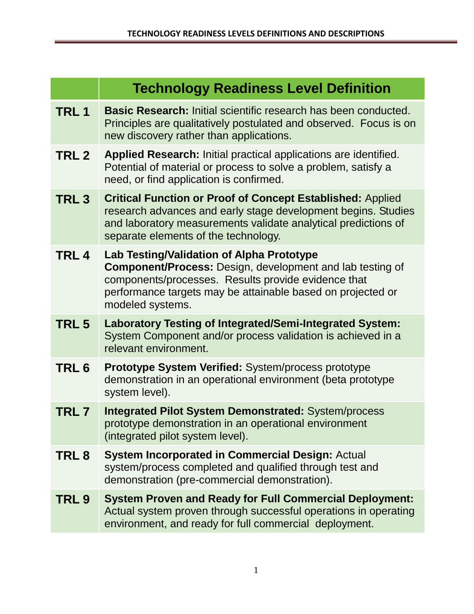|                  | <b>Technology Readiness Level Definition</b>                                                                                                                                                                                                            |
|------------------|---------------------------------------------------------------------------------------------------------------------------------------------------------------------------------------------------------------------------------------------------------|
| TRL <sub>1</sub> | <b>Basic Research: Initial scientific research has been conducted.</b><br>Principles are qualitatively postulated and observed. Focus is on<br>new discovery rather than applications.                                                                  |
| TRL 2            | Applied Research: Initial practical applications are identified.<br>Potential of material or process to solve a problem, satisfy a<br>need, or find application is confirmed.                                                                           |
| TRL <sub>3</sub> | <b>Critical Function or Proof of Concept Established: Applied</b><br>research advances and early stage development begins. Studies<br>and laboratory measurements validate analytical predictions of<br>separate elements of the technology.            |
| TRL <sub>4</sub> | Lab Testing/Validation of Alpha Prototype<br><b>Component/Process:</b> Design, development and lab testing of<br>components/processes. Results provide evidence that<br>performance targets may be attainable based on projected or<br>modeled systems. |
| TRL <sub>5</sub> | <b>Laboratory Testing of Integrated/Semi-Integrated System:</b><br>System Component and/or process validation is achieved in a<br>relevant environment.                                                                                                 |
| TRL <sub>6</sub> | <b>Prototype System Verified: System/process prototype</b><br>demonstration in an operational environment (beta prototype<br>system level).                                                                                                             |
| TRL7             | <b>Integrated Pilot System Demonstrated: System/process</b><br>prototype demonstration in an operational environment<br>(integrated pilot system level).                                                                                                |
| TRL 8            | <b>System Incorporated in Commercial Design: Actual</b><br>system/process completed and qualified through test and<br>demonstration (pre-commercial demonstration).                                                                                     |
| TRL 9            | <b>System Proven and Ready for Full Commercial Deployment:</b><br>Actual system proven through successful operations in operating<br>environment, and ready for full commercial deployment.                                                             |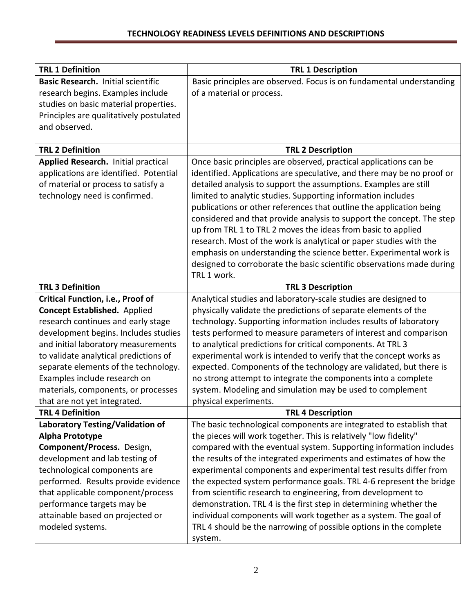| <b>TRL 1 Definition</b>                 |                                                                        |
|-----------------------------------------|------------------------------------------------------------------------|
|                                         | <b>TRL 1 Description</b>                                               |
| Basic Research. Initial scientific      | Basic principles are observed. Focus is on fundamental understanding   |
| research begins. Examples include       | of a material or process.                                              |
| studies on basic material properties.   |                                                                        |
| Principles are qualitatively postulated |                                                                        |
| and observed.                           |                                                                        |
| <b>TRL 2 Definition</b>                 |                                                                        |
|                                         | <b>TRL 2 Description</b>                                               |
| Applied Research. Initial practical     | Once basic principles are observed, practical applications can be      |
| applications are identified. Potential  | identified. Applications are speculative, and there may be no proof or |
| of material or process to satisfy a     | detailed analysis to support the assumptions. Examples are still       |
| technology need is confirmed.           | limited to analytic studies. Supporting information includes           |
|                                         | publications or other references that outline the application being    |
|                                         | considered and that provide analysis to support the concept. The step  |
|                                         | up from TRL 1 to TRL 2 moves the ideas from basic to applied           |
|                                         | research. Most of the work is analytical or paper studies with the     |
|                                         | emphasis on understanding the science better. Experimental work is     |
|                                         | designed to corroborate the basic scientific observations made during  |
|                                         | TRL 1 work.                                                            |
| <b>TRL 3 Definition</b>                 | <b>TRL 3 Description</b>                                               |
| Critical Function, i.e., Proof of       | Analytical studies and laboratory-scale studies are designed to        |
| <b>Concept Established.</b> Applied     | physically validate the predictions of separate elements of the        |
| research continues and early stage      | technology. Supporting information includes results of laboratory      |
| development begins. Includes studies    | tests performed to measure parameters of interest and comparison       |
| and initial laboratory measurements     | to analytical predictions for critical components. At TRL 3            |
| to validate analytical predictions of   | experimental work is intended to verify that the concept works as      |
| separate elements of the technology.    | expected. Components of the technology are validated, but there is     |
| Examples include research on            | no strong attempt to integrate the components into a complete          |
| materials, components, or processes     | system. Modeling and simulation may be used to complement              |
| that are not yet integrated.            | physical experiments.                                                  |
| <b>TRL 4 Definition</b>                 | <b>TRL 4 Description</b>                                               |
| Laboratory Testing/Validation of        | The basic technological components are integrated to establish that    |
| Alpha Prototype                         | the pieces will work together. This is relatively "low fidelity"       |
| Component/Process. Design,              | compared with the eventual system. Supporting information includes     |
| development and lab testing of          | the results of the integrated experiments and estimates of how the     |
| technological components are            | experimental components and experimental test results differ from      |
| performed. Results provide evidence     | the expected system performance goals. TRL 4-6 represent the bridge    |
| that applicable component/process       | from scientific research to engineering, from development to           |
| performance targets may be              | demonstration. TRL 4 is the first step in determining whether the      |
| attainable based on projected or        | individual components will work together as a system. The goal of      |
| modeled systems.                        | TRL 4 should be the narrowing of possible options in the complete      |
|                                         | system.                                                                |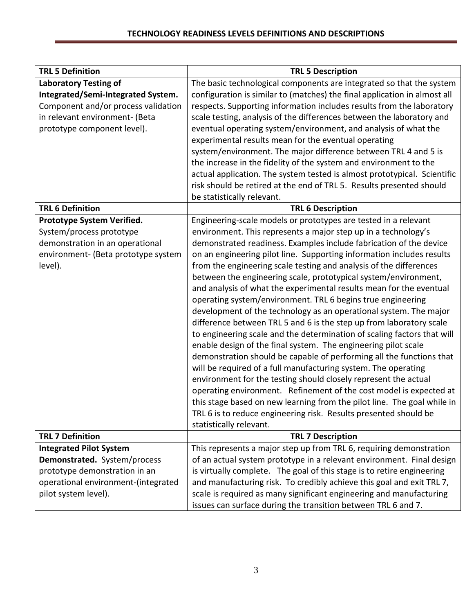| <b>TRL 5 Definition</b>             | <b>TRL 5 Description</b>                                                  |
|-------------------------------------|---------------------------------------------------------------------------|
| <b>Laboratory Testing of</b>        | The basic technological components are integrated so that the system      |
| Integrated/Semi-Integrated System.  | configuration is similar to (matches) the final application in almost all |
| Component and/or process validation | respects. Supporting information includes results from the laboratory     |
| in relevant environment- (Beta      | scale testing, analysis of the differences between the laboratory and     |
| prototype component level).         | eventual operating system/environment, and analysis of what the           |
|                                     | experimental results mean for the eventual operating                      |
|                                     | system/environment. The major difference between TRL 4 and 5 is           |
|                                     | the increase in the fidelity of the system and environment to the         |
|                                     | actual application. The system tested is almost prototypical. Scientific  |
|                                     | risk should be retired at the end of TRL 5. Results presented should      |
|                                     | be statistically relevant.                                                |
| <b>TRL 6 Definition</b>             | <b>TRL 6 Description</b>                                                  |
| Prototype System Verified.          | Engineering-scale models or prototypes are tested in a relevant           |
| System/process prototype            | environment. This represents a major step up in a technology's            |
| demonstration in an operational     | demonstrated readiness. Examples include fabrication of the device        |
| environment- (Beta prototype system | on an engineering pilot line. Supporting information includes results     |
| level).                             | from the engineering scale testing and analysis of the differences        |
|                                     | between the engineering scale, prototypical system/environment,           |
|                                     | and analysis of what the experimental results mean for the eventual       |
|                                     | operating system/environment. TRL 6 begins true engineering               |
|                                     | development of the technology as an operational system. The major         |
|                                     | difference between TRL 5 and 6 is the step up from laboratory scale       |
|                                     | to engineering scale and the determination of scaling factors that will   |
|                                     | enable design of the final system. The engineering pilot scale            |
|                                     | demonstration should be capable of performing all the functions that      |
|                                     | will be required of a full manufacturing system. The operating            |
|                                     | environment for the testing should closely represent the actual           |
|                                     | operating environment. Refinement of the cost model is expected at        |
|                                     | this stage based on new learning from the pilot line. The goal while in   |
|                                     | TRL 6 is to reduce engineering risk. Results presented should be          |
|                                     | statistically relevant.                                                   |
| <b>TRL 7 Definition</b>             | <b>TRL 7 Description</b>                                                  |
| <b>Integrated Pilot System</b>      | This represents a major step up from TRL 6, requiring demonstration       |
| Demonstrated. System/process        | of an actual system prototype in a relevant environment. Final design     |
| prototype demonstration in an       | is virtually complete. The goal of this stage is to retire engineering    |
| operational environment-(integrated | and manufacturing risk. To credibly achieve this goal and exit TRL 7,     |
| pilot system level).                | scale is required as many significant engineering and manufacturing       |
|                                     | issues can surface during the transition between TRL 6 and 7.             |